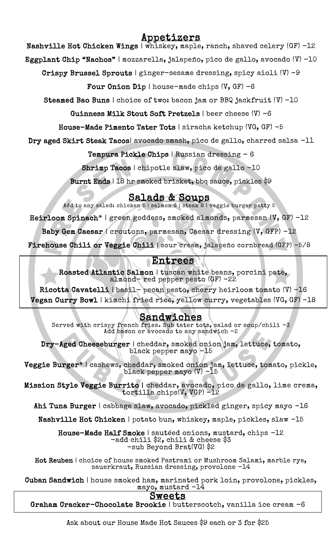# Appetizers

Nashville Hot Chicken Wings | whiskey, maple, ranch, shaved celery (GF) -12

Eggplant Chip "Nachos" | mozzarella, jalapeño, pico de gallo, avocado (V) -10

Crispy Brussel Sprouts | ginger-sesame dressing, spicy aioli  $(V)$  -9

Four Onion Dip | house-made chips  $(V, GF) -6$ 

Steamed Bao Buns | choice of two: bacon jam or BBQ jackfruit (V) -10

Guinness Milk Stout Soft Pretzels | beer cheese (V) -6

House-Made Pimento Tater Tots | siracha ketchup (VG, GF) -5

Dry aged Skirt Steak Tacos| avocado smash, pico de gallo, charred salsa -11

Tempura Pickle Chips | Russian dressing – 6

Shrimp Tacos | chipotle slaw, pico de gallo -10

Burnt Ends | 18 hr smoked brisket, bbq sauce, pickles \$9

## Salads & Soups

Add to any salad: chicken 5 | salmon 6 | steak  $8$  | veggie burger patty  $5$ 

Heirloom Spinach\* | green goddess, smoked almonds, parmesan (V, GF) -12

Baby Gem Caesar / croutons, parmesan, Caesar dressing (V, GFP) -12

 $\frac{1}{2}$ Firehouse Chili or Veggie Chili | sour cream, jalapeño cornbread (GFP) -5/8

# Entrees

 $\mathbf{a}$ ľ Roasted Atlantic Salmon | tuscan white beans, porcini pate, almond- red pepper pesto (GF) -22

 Ricotta Cavatelli | basil- pecan pesto, cherry heirloom tomato (V) -16 Vegan Curry Bowl | kimchi fried rice, yellow curry, vegetables (VG, GF) -18

#### Sandwiches

 Served with crispy french fries. Sub tater tots, salad or soup/chili -3 Add bacon or avocado to any sandwich -2

I cheddar, smoked onl<br>black pepper mayo -15 Dry-Aged Cheeseburger | cheddar, smoked onion jam, lettuce, tomato,

ŗ, ۲.<br>د  $\overline{\phantom{a}}$ Veggie Burger\* | cashews, cheddar, smoked onion jam, lettuce, tomato, pickle, black pepper mayo (V) -15

l:<br>÷  $\overline{a}$ Mission Style Veggie Burrito | cheddar, avocado, pico de gallo, lime crema, tortilla chips(V, VGP) -12

Ahi Tuna Burger | cabbage slaw, avocado, pickled ginger, spicy mayo -16

Nashville Hot Chicken | potato bun, whiskey, maple, pickles, slaw -15

Ĩ al**i Smoke** | sauteed onions, musta<br>-add chili \$2, chili & cheese \$3 -sub Beyond Brat(VG) \$2 House-Made Half Smoke | sautéed onions, mustard, chips -12

 Hot Reuben | choice of house smoked Pastrami or Mushroom Salami, marble rye, sauerkraut, Russian dressing, provolone -14

 Cuban Sandwich | house smoked ham, marinated pork loin, provolone, pickles, n mam, marinated p<br>mayo, mustard -14

# Sweets

Graha<mark>m Cracker-Chocolate Brookie</mark> | butterscotch, vanilla ice cream -6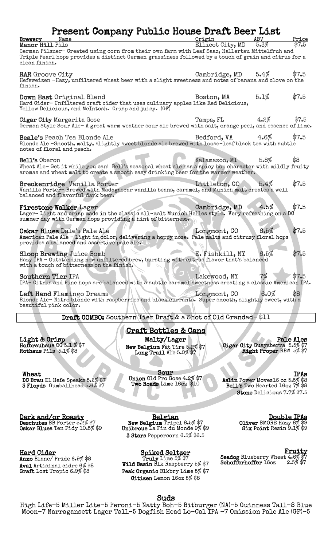# Present Company Public House Draft Beer List

| Brewery<br>Name<br>Manor Hill Pils                                                                                                                                                                                        |  | Origin<br>Ellicot City, MD | ABV<br>5.3% | Price<br>$\$7.5$ |
|---------------------------------------------------------------------------------------------------------------------------------------------------------------------------------------------------------------------------|--|----------------------------|-------------|------------------|
| German Pilsner- Created using corn from their own farm with Leaf Saaz, Hallertau Mittelfruh and<br>Triple Pearl hops provides a distinct German grassiness followed by a touch of grain and citrus for a<br>clean finish. |  |                            |             |                  |
| <b>RAR</b> Groove City<br>Hefeweizen -Hazy, unfiltered wheat beer with a slight sweetness and notes of banana and clove on the<br>finish.                                                                                 |  | Cambridge, $MD = 5.4\%$    |             | \$7.5            |
| Down East Original Blend<br>Hard Cider-Unfiltered craft cider that uses culinary apples like Red Delicious,<br>Yellow Delicious, and McIntosh. Crisp and juicy. (GF)                                                      |  | Boston, MA                 | 5.1%        | \$7.5            |
| <b>Cigar City Margarita Gose</b><br>German Style Sour Ale-A great warm weather sour ale brewed with salt, orange peel, and essence of lime.                                                                               |  | $4.2\%$<br>Tampa, FL       |             | \$7.5            |
| <b>Beale's</b> Peach Tea Blonde Ale<br>Blonde Ale -Smooth, malty, slightly sweet blonde ale brewed with loose-leaf black tea with subtle<br>notes of floral and peach.                                                    |  | Bedford, VA                | 4.6%        | \$7.5            |
| Bell's Oberon<br>Wheat Ale- Get it while you can! Bell's seasonal wheat ale has a spicy hop character with mildly fruity<br>aromas and wheat malt to create a smooth easy drinking beer for the warmer weather.           |  | Kalamazoo, MI              | 5.8%        | \$8              |
| Breckenridge Vanilla Porter<br>Vanilla Porter-Brewed with Madagascar vanilla beans, caramel, and Munich malt creates a well<br>balanced and flavorful dark beer.                                                          |  | Littleton, CO              | 5.4%        | \$7.5            |
| <b>Firestone Walker Lager</b><br>Lager-Light and crisp made in the classic all-malt Munich Helles style. Very refreshing on a DC<br>summer day with German hops providing a hint of bitterness.                           |  | Cambridge, $MD$            | 4.5%        | \$7.5            |
| Oskar Blues Dale's Pale Ale<br>American Pale Ale - Light in color, delivering a hoppy nose. Pale malts and citrusy floral hops<br>provides a balanced and assertive pale ale.                                             |  | Longmont, CO               | 6.5%        | \$7.5            |
| <b>Sloop Brewing Juice Bomb</b><br>Hazy IPA - Outstanding new unfiltered brew, bursting with citrus flavor that's balanced<br>with a touch of bitterness on the finish.                                                   |  | E. Fishkill, NY            | 6.5%        | \$7.5            |
| Southern Tier IPA<br>IPA- Citrus and Pine hops are balanced with a subtle caramel sweetness creating a classic American IPA.                                                                                              |  | Lakewood, NY               | 7%          | \$7.5            |
| Left Hand Flamingo Dreams<br>Blonde Ale-Nitro blonde with raspberries and black currants. Super smooth, slightly sweet, with a<br>beautiful pink color.                                                                   |  | Longmont, CO               | 6.0%        | \$8              |
| Draft COMBO: Southern Tier Draft & a Shot of Old Grandad-\$11                                                                                                                                                             |  |                            |             |                  |
| <b>Craft Bottles &amp; Cans</b>                                                                                                                                                                                           |  |                            |             |                  |
| Pale Ales<br><u>Light &amp; Crisp</u><br>Malty/Lager                                                                                                                                                                      |  |                            |             |                  |

Light & Crisp Hofbrauhaus  $0055.1\%$ \$7 Rothaus Pils 5.1% \$8

**Wheat** DC Brau El Hefe Speaks 5.2% \$7 3 Floyds Gumballhead 5.6% \$7

New Belgium Fat Tire 5.2% \$7 Long Trail Ale 5.0% \$7

ì

Pale Ales Cigar City Guayaberra 5.5% \$7 Right Proper RBW 5% \$7

Sour Union Old Pro Gose 4.2% \$7 Two Roads Lime 16oz \$10

IPAs Aslin Power Moves16 oz 5.5% \$8 Bell's Two Hearted 16oz 7% \$8 Stone Delicious 7.7% \$7.5

Dark and/or Roasty

Deschutes BB Porter 5.2% \$7 Oskar Blues Ten Fidy 10.5% \$9

Hard Cider

Anxo Blanc/ Pride 6.9% \$8 Aval Artisinal cidre 6% \$8 Graft Lost Tropic 6.9% \$8

Belgian New Belgium Tripel 8.5% \$7 Unibroue La Fin du Monde 9% \$9 3 Stars Peppercorn 6.5% \$6.5

Spiked Seltzer

Truly Lime 5% \$7 Wild Basin Blk Raspberry 5% \$7 Peak Organic Blkbry Lime 5% \$7 Citizen Lemon 16oz 5% \$8

Double IPAs Oliver BMORE Hazy 8% \$9 Six Point Resin 9.1% \$9

Fruity Seadog Blueberry Wheat 4.6% \$7 Schofferhoffer 16oz 2.5% \$7

#### <u>Suds</u>

High Life-5 Miller Lite-5 Peroni-5 Natty Boh-5 Bitburger (NA)–5 Guinness Tall-8 Blue Moon-7 Narragansett Lager Tall–5 Dogfish Head Lo-Cal IPA -7 Omission Pale Ale (GF)-5